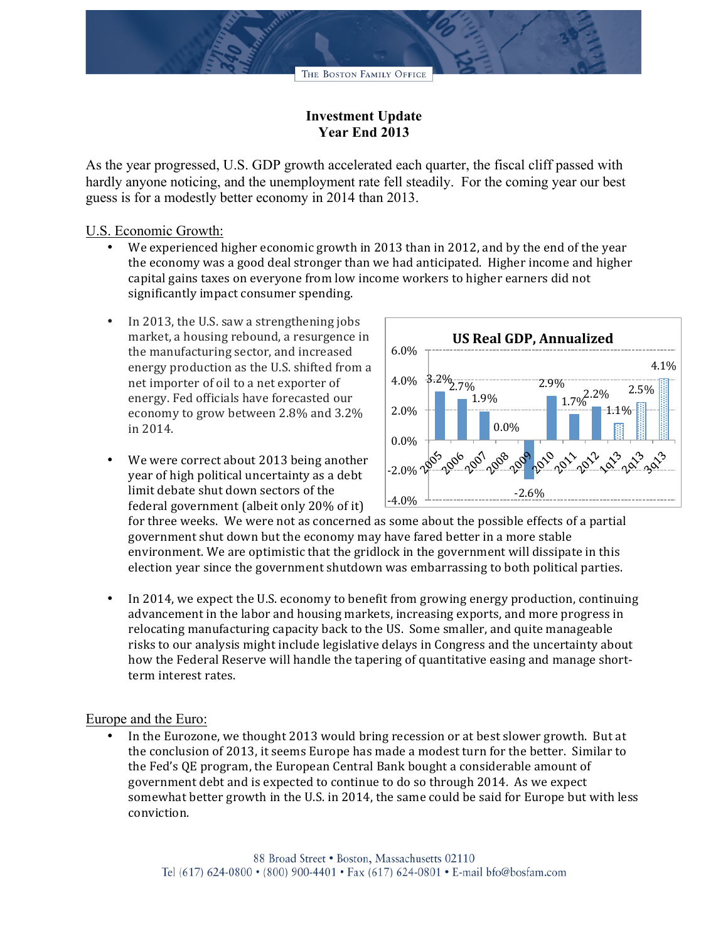

# **Investment Update Year End 2013**

As the year progressed, U.S. GDP growth accelerated each quarter, the fiscal cliff passed with hardly anyone noticing, and the unemployment rate fell steadily. For the coming year our best guess is for a modestly better economy in 2014 than 2013.

## U.S. Economic Growth:

- We experienced higher economic growth in 2013 than in 2012, and by the end of the year the economy was a good deal stronger than we had anticipated. Higher income and higher capital gains taxes on everyone from low income workers to higher earners did not significantly impact consumer spending.
- In 2013, the U.S. saw a strengthening jobs market, a housing rebound, a resurgence in the manufacturing sector, and increased energy production as the U.S. shifted from a net importer of oil to a net exporter of energy. Fed officials have forecasted our economy to grow between 2.8% and 3.2% in 2014.
- We were correct about 2013 being another year of high political uncertainty as a debt limit debate shut down sectors of the federal government (albeit only  $20\%$  of it)



for three weeks. We were not as concerned as some about the possible effects of a partial government shut down but the economy may have fared better in a more stable environment. We are optimistic that the gridlock in the government will dissipate in this election year since the government shutdown was embarrassing to both political parties.

In 2014, we expect the U.S. economy to benefit from growing energy production, continuing advancement in the labor and housing markets, increasing exports, and more progress in relocating manufacturing capacity back to the US. Some smaller, and quite manageable risks to our analysis might include legislative delays in Congress and the uncertainty about how the Federal Reserve will handle the tapering of quantitative easing and manage shortterm interest rates.

#### Europe and the Euro:

In the Eurozone, we thought 2013 would bring recession or at best slower growth. But at the conclusion of 2013, it seems Europe has made a modest turn for the better. Similar to the Fed's QE program, the European Central Bank bought a considerable amount of government debt and is expected to continue to do so through 2014. As we expect somewhat better growth in the U.S. in 2014, the same could be said for Europe but with less conviction.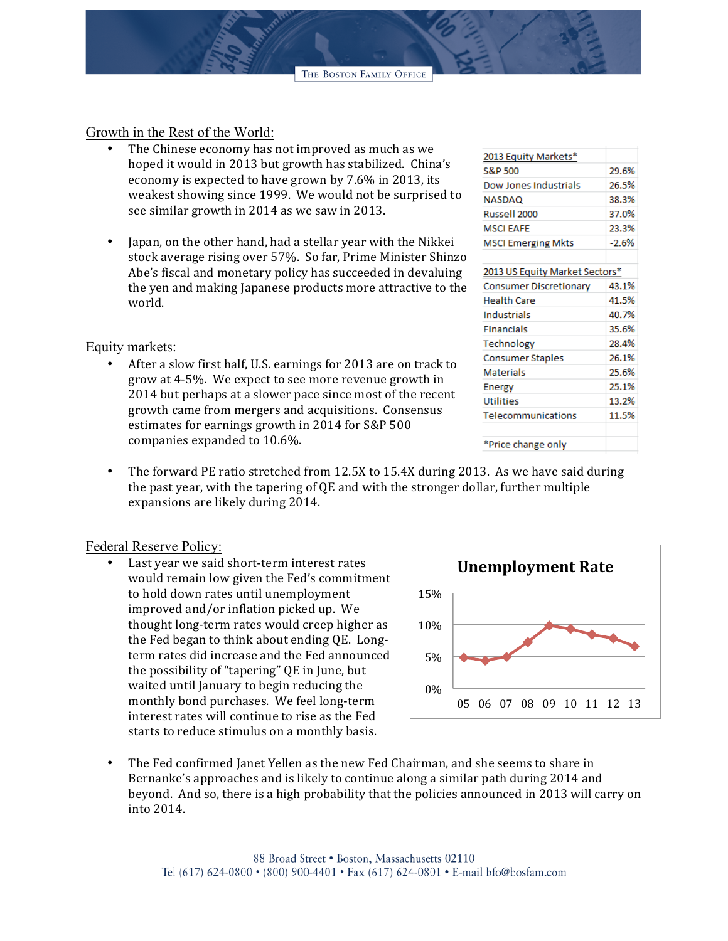THE BOSTON FAMILY OFFICE

Growth in the Rest of the World:

- The Chinese economy has not improved as much as we hoped it would in 2013 but growth has stabilized. China's economy is expected to have grown by 7.6% in 2013, its weakest showing since 1999. We would not be surprised to see similar growth in 2014 as we saw in 2013.
- Japan, on the other hand, had a stellar year with the Nikkei stock average rising over 57%. So far, Prime Minister Shinzo Abe's fiscal and monetary policy has succeeded in devaluing the yen and making Japanese products more attractive to the world.

### Equity markets:

After a slow first half, U.S. earnings for 2013 are on track to grow at 4-5%. We expect to see more revenue growth in 2014 but perhaps at a slower pace since most of the recent growth came from mergers and acquisitions. Consensus estimates for earnings growth in 2014 for S&P 500 companies expanded to 10.6%.

| 2013 Equity Markets*           |         |
|--------------------------------|---------|
| S&P 500                        | 29.6%   |
| Dow Jones Industrials          | 26.5%   |
| NASDAQ                         | 38.3%   |
| Russell 2000                   | 37.0%   |
| <b>MSCLEAFE</b>                | 23.3%   |
| <b>MSCI Emerging Mkts</b>      | $-2.6%$ |
|                                |         |
| 2013 US Equity Market Sectors* |         |

| 2013 OS EQUILY MARKEL SECLOIS |       |
|-------------------------------|-------|
| <b>Consumer Discretionary</b> | 43.1% |
| <b>Health Care</b>            | 41.5% |
| Industrials                   | 40.7% |
| Financials                    | 35.6% |
| Technology                    | 28.4% |
| <b>Consumer Staples</b>       | 26.1% |
| <b>Materials</b>              | 25.6% |
| Energy                        | 25.1% |
| <b>Utilities</b>              | 13.2% |
| Telecommunications            | 11.5% |
|                               |       |
| *Price change only            |       |

• The forward PE ratio stretched from 12.5X to 15.4X during 2013. As we have said during the past year, with the tapering of  $QE$  and with the stronger dollar, further multiple expansions are likely during 2014.

#### Federal Reserve Policy:

Last year we said short-term interest rates would remain low given the Fed's commitment to hold down rates until unemployment improved and/or inflation picked up. We thought long-term rates would creep higher as the Fed began to think about ending QE. Longterm rates did increase and the Fed announced the possibility of "tapering" QE in June, but waited until January to begin reducing the monthly bond purchases. We feel long-term interest rates will continue to rise as the Fed starts to reduce stimulus on a monthly basis.



The Fed confirmed Janet Yellen as the new Fed Chairman, and she seems to share in Bernanke's approaches and is likely to continue along a similar path during 2014 and beyond. And so, there is a high probability that the policies announced in 2013 will carry on into 2014.